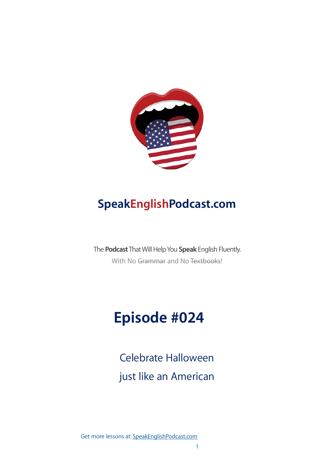

### **SpeakEnglishPodcast.com**

The **Podcast** That Will Help You **Speak** English Fluently. With No Grammar and No Textbooks!

# **Episode #024**

Celebrate Halloween just like an American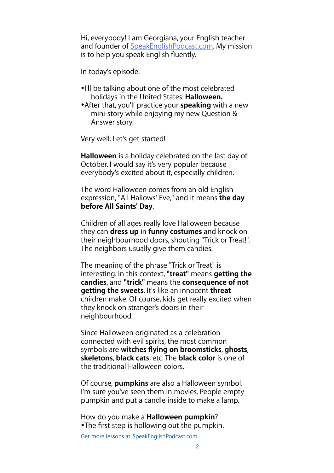Hi, everybody! I am Georgiana, your English teacher and founder of [SpeakEnglishPodcast.com](http://speakenglishpodcast.com/). My mission is to help you speak English fluently.

In today's episode:

- •I'll be talking about one of the most celebrated holidays in the United States: **Halloween.**
- •After that, you'll practice your **speaking** with a new mini-story while enjoying my new Question & Answer story.

Very well. Let's get started!

**Halloween** is a holiday celebrated on the last day of October. I would say it's very popular because everybody's excited about it, especially children.

The word Halloween comes from an old English expression, "All Hallows' Eve," and it means **the day before All Saints' Day**.

Children of all ages really love Halloween because they can **dress up** in **funny costumes** and knock on their neighbourhood doors, shouting "Trick or Treat!". The neighbors usually give them candies.

The meaning of the phrase "Trick or Treat" is interesting. In this context, **"treat"** means **getting the candies**, and **"trick"** means the **consequence of not getting the sweets**. It's like an innocent **threat** children make. Of course, kids get really excited when they knock on stranger's doors in their neighbourhood.

Since Halloween originated as a celebration connected with evil spirits, the most common symbols are **witches flying on broomsticks**, **ghosts**, **skeletons**, **black cats**, etc. The **black color** is one of the traditional Halloween colors.

Of course, **pumpkins** are also a Halloween symbol. I'm sure you've seen them in movies. People empty pumpkin and put a candle inside to make a lamp.

How do you make a **Halloween pumpkin**? •The first step is hollowing out the pumpkin.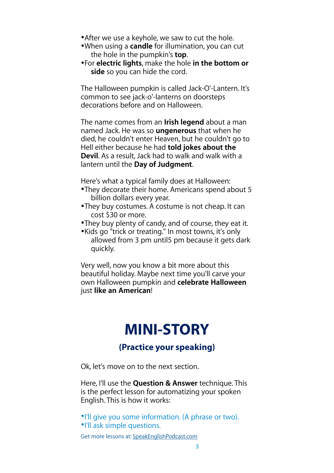- •After we use a keyhole, we saw to cut the hole.
- •When using a **candle** for illumination, you can cut the hole in the pumpkin's **top**.
- •For **electric lights**, make the hole **in the bottom or side** so you can hide the cord.

The Halloween pumpkin is called Jack-O'-Lantern. It's common to see jack-o'-lanterns on doorsteps decorations before and on Halloween.

The name comes from an **Irish legend** about a man named Jack. He was so **ungenerous** that when he died, he couldn't enter Heaven, but he couldn't go to Hell either because he had **told jokes about the Devil**. As a result, Jack had to walk and walk with a lantern until the **Day of Judgment**.

Here's what a typical family does at Halloween:

- •They decorate their home. Americans spend about 5 billion dollars every year.
- •They buy costumes. A costume is not cheap. It can cost \$30 or more.
- •They buy plenty of candy, and of course, they eat it.
- •Kids go "trick or treating." In most towns, it's only allowed from 3 pm until5 pm because it gets dark quickly.

Very well, now you know a bit more about this beautiful holiday. Maybe next time you'll carve your own Halloween pumpkin and **celebrate Halloween** just **like an American**!

## **MINI-STORY**

### **(Practice your speaking)**

Ok, let's move on to the next section.

Here, I'll use the **Question & Answer** technique. This is the perfect lesson for automatizing your spoken English. This is how it works:

•I'll give you some information. (A phrase or two). •I'll ask simple questions.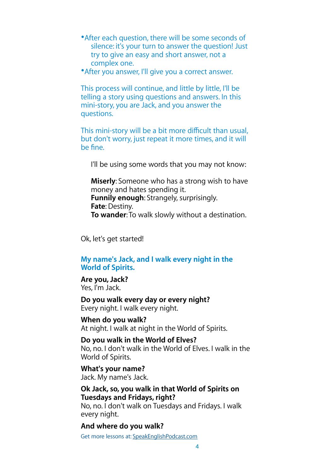- •After each question, there will be some seconds of silence: it's your turn to answer the question! Just try to give an easy and short answer, not a complex one.
- •After you answer, I'll give you a correct answer.

This process will continue, and little by little, I'll be telling a story using questions and answers. In this mini-story, you are Jack, and you answer the questions.

This mini-story will be a bit more difficult than usual, but don't worry, just repeat it more times, and it will be fine.

I'll be using some words that you may not know:

**Miserly**: Someone who has a strong wish to have money and hates spending it. **Funnily enough**: Strangely, surprisingly. **Fate**: Destiny. **To wander**: To walk slowly without a destination.

Ok, let's get started!

#### **My name's Jack, and I walk every night in the World of Spirits.**

#### **Are you, Jack?**  Yes, I'm Jack.

#### **Do you walk every day or every night?**  Every night. I walk every night.

**When do you walk?**  At night. I walk at night in the World of Spirits.

**Do you walk in the World of Elves?**  No, no. I don't walk in the World of Elves. I walk in the World of Spirits.

**What's your name?**  Jack. My name's Jack.

#### **Ok Jack, so, you walk in that World of Spirits on Tuesdays and Fridays, right?**

No, no. I don't walk on Tuesdays and Fridays. I walk every night.

**And where do you walk?**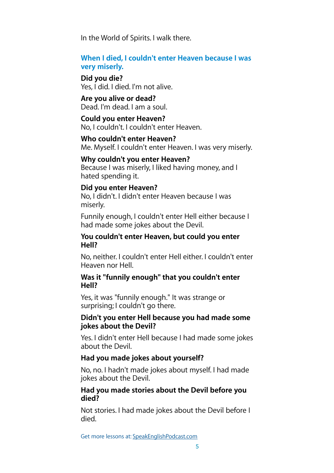In the World of Spirits. I walk there.

#### **When I died, I couldn't enter Heaven because I was very miserly.**

**Did you die?**  Yes, I did. I died. I'm not alive.

**Are you alive or dead?**  Dead. I'm dead. I am a soul.

**Could you enter Heaven?**  No, I couldn't. I couldn't enter Heaven.

**Who couldn't enter Heaven?**  Me. Myself. I couldn't enter Heaven. I was very miserly.

#### **Why couldn't you enter Heaven?**

Because I was miserly, I liked having money, and I hated spending it.

#### **Did you enter Heaven?**

No, I didn't. I didn't enter Heaven because I was miserly.

Funnily enough, I couldn't enter Hell either because I had made some jokes about the Devil.

#### **You couldn't enter Heaven, but could you enter Hell?**

No, neither. I couldn't enter Hell either. I couldn't enter Heaven nor Hell.

#### **Was it "funnily enough" that you couldn't enter Hell?**

Yes, it was "funnily enough." It was strange or surprising; I couldn't go there.

#### **Didn't you enter Hell because you had made some jokes about the Devil?**

Yes. I didn't enter Hell because I had made some jokes about the Devil.

#### **Had you made jokes about yourself?**

No, no. I hadn't made jokes about myself. I had made jokes about the Devil.

#### **Had you made stories about the Devil before you died?**

Not stories. I had made jokes about the Devil before I died.